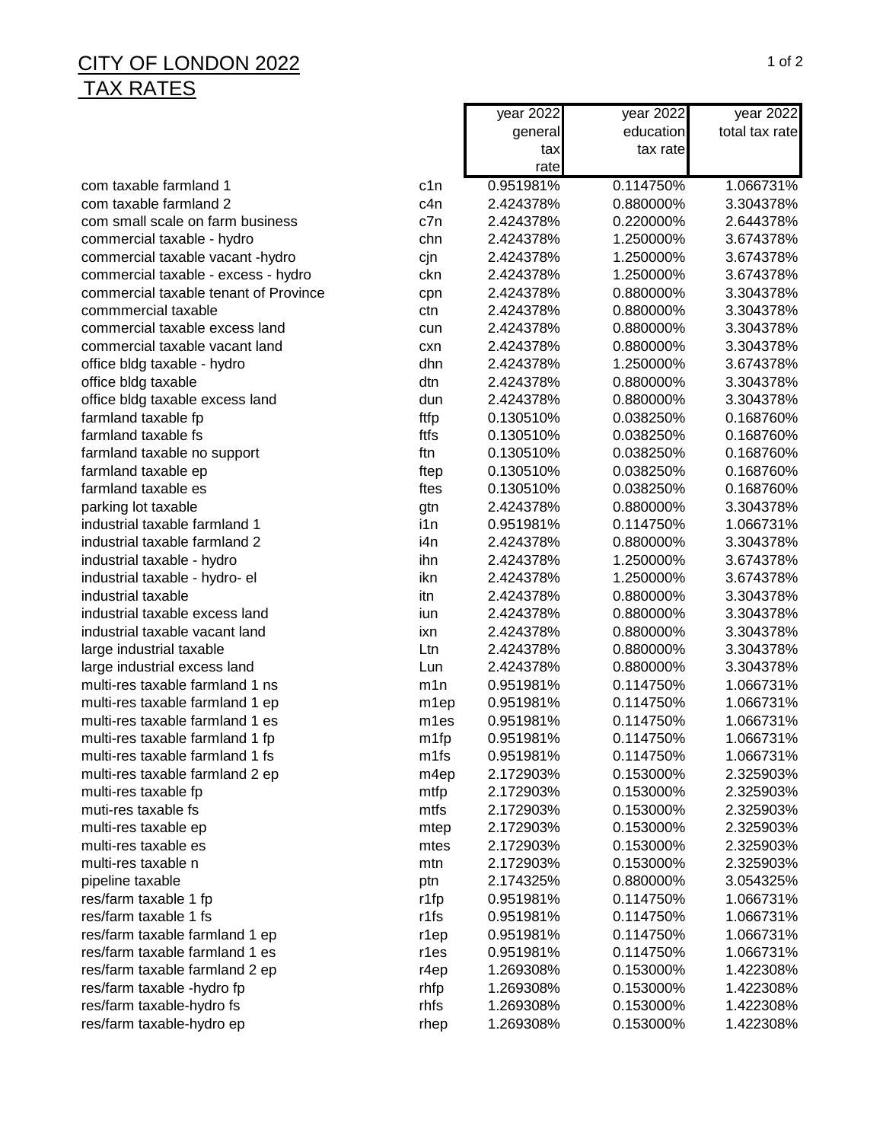## $\overline{a}$  CITY OF LONDON 2022 1 of 2 TAX RATES

|                                       |                  | year 2022 | year 2022 | year 2022      |
|---------------------------------------|------------------|-----------|-----------|----------------|
|                                       |                  | general   | education | total tax rate |
|                                       |                  | tax       | tax rate  |                |
|                                       |                  | rate      |           |                |
| com taxable farmland 1                | c1n              | 0.951981% | 0.114750% | 1.066731%      |
| com taxable farmland 2                | c4n              | 2.424378% | 0.880000% | 3.304378%      |
| com small scale on farm business      | c7n              | 2.424378% | 0.220000% | 2.644378%      |
| commercial taxable - hydro            | chn              | 2.424378% | 1.250000% | 3.674378%      |
| commercial taxable vacant -hydro      | cjn              | 2.424378% | 1.250000% | 3.674378%      |
| commercial taxable - excess - hydro   | ckn              | 2.424378% | 1.250000% | 3.674378%      |
| commercial taxable tenant of Province | cpn              | 2.424378% | 0.880000% | 3.304378%      |
| commmercial taxable                   | ctn              | 2.424378% | 0.880000% | 3.304378%      |
| commercial taxable excess land        | cun              | 2.424378% | 0.880000% | 3.304378%      |
| commercial taxable vacant land        | cxn              | 2.424378% | 0.880000% | 3.304378%      |
| office bldg taxable - hydro           | dhn              | 2.424378% | 1.250000% | 3.674378%      |
| office bldg taxable                   | dtn              | 2.424378% | 0.880000% | 3.304378%      |
| office bldg taxable excess land       | dun              | 2.424378% | 0.880000% | 3.304378%      |
| farmland taxable fp                   | ftfp             | 0.130510% | 0.038250% | 0.168760%      |
| farmland taxable fs                   | ftfs             | 0.130510% | 0.038250% | 0.168760%      |
| farmland taxable no support           | ftn              | 0.130510% | 0.038250% | 0.168760%      |
| farmland taxable ep                   | ftep             | 0.130510% | 0.038250% | 0.168760%      |
| farmland taxable es                   | ftes             | 0.130510% | 0.038250% | 0.168760%      |
| parking lot taxable                   | gtn              | 2.424378% | 0.880000% | 3.304378%      |
| industrial taxable farmland 1         | i1n              | 0.951981% | 0.114750% | 1.066731%      |
| industrial taxable farmland 2         | i4n              | 2.424378% | 0.880000% | 3.304378%      |
| industrial taxable - hydro            | ihn              | 2.424378% | 1.250000% | 3.674378%      |
| industrial taxable - hydro- el        | ikn              | 2.424378% | 1.250000% | 3.674378%      |
| industrial taxable                    | itn              | 2.424378% | 0.880000% | 3.304378%      |
| industrial taxable excess land        | iun              | 2.424378% | 0.880000% | 3.304378%      |
| industrial taxable vacant land        | ixn              | 2.424378% | 0.880000% | 3.304378%      |
| large industrial taxable              | Ltn              | 2.424378% | 0.880000% | 3.304378%      |
| large industrial excess land          | Lun              | 2.424378% | 0.880000% | 3.304378%      |
| multi-res taxable farmland 1 ns       | m1n              | 0.951981% | 0.114750% | 1.066731%      |
| multi-res taxable farmland 1 ep       | m <sub>1ep</sub> | 0.951981% | 0.114750% | 1.066731%      |
| multi-res taxable farmland 1 es       | m <sub>1es</sub> | 0.951981% | 0.114750% | 1.066731%      |
| multi-res taxable farmland 1 fp       | m1fp             | 0.951981% | 0.114750% | 1.066731%      |
| multi-res taxable farmland 1 fs       | m1fs             | 0.951981% | 0.114750% | 1.066731%      |
| multi-res taxable farmland 2 ep       | m4ep             | 2.172903% | 0.153000% | 2.325903%      |
| multi-res taxable fp                  | mtfp             | 2.172903% | 0.153000% | 2.325903%      |
| muti-res taxable fs                   | mtfs             | 2.172903% | 0.153000% | 2.325903%      |
| multi-res taxable ep                  | mtep             | 2.172903% | 0.153000% | 2.325903%      |
| multi-res taxable es                  | mtes             | 2.172903% | 0.153000% | 2.325903%      |
| multi-res taxable n                   | mtn              | 2.172903% | 0.153000% | 2.325903%      |
| pipeline taxable                      | ptn              | 2.174325% | 0.880000% | 3.054325%      |
| res/farm taxable 1 fp                 | r1fp             | 0.951981% | 0.114750% | 1.066731%      |
| res/farm taxable 1 fs                 | r1fs             | 0.951981% | 0.114750% | 1.066731%      |
| res/farm taxable farmland 1 ep        | r1ep             | 0.951981% | 0.114750% | 1.066731%      |
| res/farm taxable farmland 1 es        | r1es             | 0.951981% | 0.114750% | 1.066731%      |
| res/farm taxable farmland 2 ep        | r4ep             | 1.269308% | 0.153000% | 1.422308%      |
| res/farm taxable -hydro fp            | rhfp             | 1.269308% | 0.153000% | 1.422308%      |
| res/farm taxable-hydro fs             | rhfs             | 1.269308% | 0.153000% | 1.422308%      |
| res/farm taxable-hydro ep             | rhep             | 1.269308% | 0.153000% | 1.422308%      |